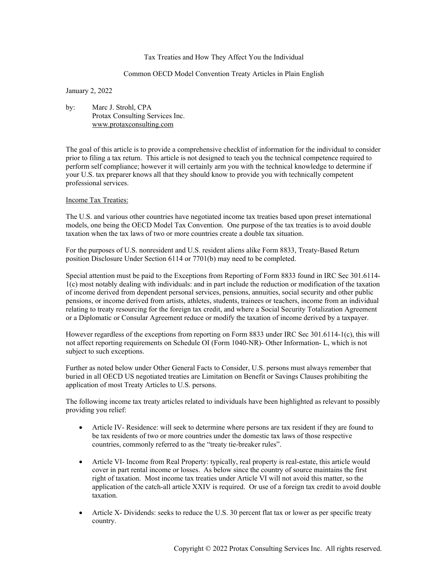## Tax Treaties and How They Affect You the Individual

## Common OECD Model Convention Treaty Articles in Plain English

January 2, 2022

by: Marc J. Strohl, CPA Protax Consulting Services Inc. www.protaxconsulting.com

The goal of this article is to provide a comprehensive checklist of information for the individual to consider prior to filing a tax return. This article is not designed to teach you the technical competence required to perform self compliance; however it will certainly arm you with the technical knowledge to determine if your U.S. tax preparer knows all that they should know to provide you with technically competent professional services.

## Income Tax Treaties:

The U.S. and various other countries have negotiated income tax treaties based upon preset international models, one being the OECD Model Tax Convention. One purpose of the tax treaties is to avoid double taxation when the tax laws of two or more countries create a double tax situation.

For the purposes of U.S. nonresident and U.S. resident aliens alike Form 8833, Treaty-Based Return position Disclosure Under Section 6114 or 7701(b) may need to be completed.

Special attention must be paid to the Exceptions from Reporting of Form 8833 found in IRC Sec 301.6114- 1(c) most notably dealing with individuals: and in part include the reduction or modification of the taxation of income derived from dependent personal services, pensions, annuities, social security and other public pensions, or income derived from artists, athletes, students, trainees or teachers, income from an individual relating to treaty resourcing for the foreign tax credit, and where a Social Security Totalization Agreement or a Diplomatic or Consular Agreement reduce or modify the taxation of income derived by a taxpayer.

However regardless of the exceptions from reporting on Form 8833 under IRC Sec 301.6114-1(c), this will not affect reporting requirements on Schedule OI (Form 1040-NR)- Other Information- L, which is not subject to such exceptions.

Further as noted below under Other General Facts to Consider, U.S. persons must always remember that buried in all OECD US negotiated treaties are Limitation on Benefit or Savings Clauses prohibiting the application of most Treaty Articles to U.S. persons.

The following income tax treaty articles related to individuals have been highlighted as relevant to possibly providing you relief:

- Article IV- Residence: will seek to determine where persons are tax resident if they are found to be tax residents of two or more countries under the domestic tax laws of those respective countries, commonly referred to as the "treaty tie-breaker rules".
- Article VI- Income from Real Property: typically, real property is real-estate, this article would cover in part rental income or losses. As below since the country of source maintains the first right of taxation. Most income tax treaties under Article VI will not avoid this matter, so the application of the catch-all article XXIV is required. Or use of a foreign tax credit to avoid double taxation.
- Article X- Dividends: seeks to reduce the U.S. 30 percent flat tax or lower as per specific treaty country.